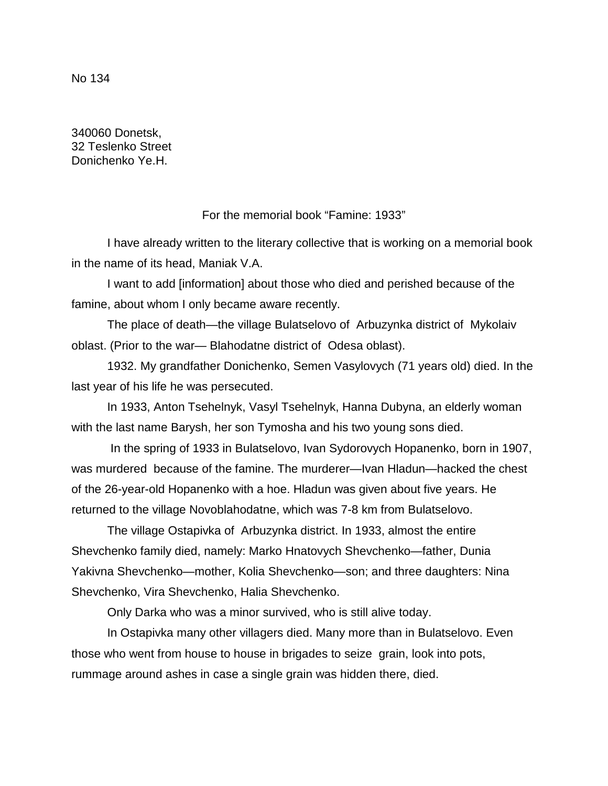No 134

340060 Donetsk, 32 Teslenko Street Donichenko Ye.H.

For the memorial book "Famine: 1933"

I have already written to the literary collective that is working on a memorial book in the name of its head, Maniak V.A.

I want to add [information] about those who died and perished because of the famine, about whom I only became aware recently.

The place of death—the village Bulatselovo of Arbuzynka district of Mykolaiv oblast. (Prior to the war— Blahodatne district of Odesa oblast).

1932. My grandfather Donichenko, Semen Vasylovych (71 years old) died. In the last year of his life he was persecuted.

In 1933, Anton Tsehelnyk, Vasyl Tsehelnyk, Hanna Dubyna, an elderly woman with the last name Barysh, her son Tymosha and his two young sons died.

In the spring of 1933 in Bulatselovo, Ivan Sydorovych Hopanenko, born in 1907, was murdered because of the famine. The murderer—Ivan Hladun—hacked the chest of the 26-year-old Hopanenko with a hoe. Hladun was given about five years. He returned to the village Novoblahodatne, which was 7-8 km from Bulatselovo.

The village Ostapivka of Arbuzynka district. In 1933, almost the entire Shevchenko family died, namely: Marko Hnatovych Shevchenko—father, Dunia Yakivna Shevchenko—mother, Kolia Shevchenko—son; and three daughters: Nina Shevchenko, Vira Shevchenko, Halia Shevchenko.

Only Darka who was a minor survived, who is still alive today.

In Ostapivka many other villagers died. Many more than in Bulatselovo. Even those who went from house to house in brigades to seize grain, look into pots, rummage around ashes in case a single grain was hidden there, died.